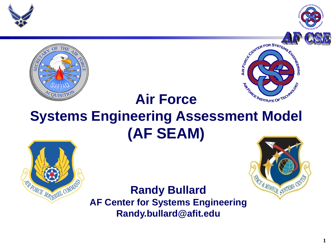





### **Air Force**

### **Systems Engineering Assessment Model (AF SEAM)**





**Randy Bullard AF Center for Systems Engineering Randy.bullard@afit.edu**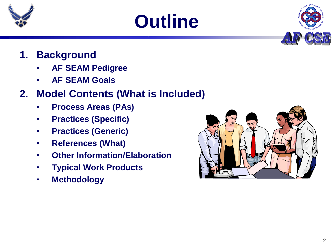





- **1. Background**
	- **AF SEAM Pedigree**
	- **AF SEAM Goals**

#### **2. Model Contents (What is Included)**

- **Process Areas (PAs)**
- **Practices (Specific)**
- **Practices (Generic)**
- **References (What)**
- **Other Information/Elaboration**
- **Typical Work Products**
- **Methodology**

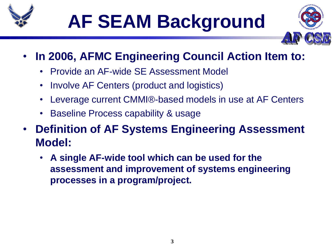

## **AF SEAM Background**



- **In 2006, AFMC Engineering Council Action Item to:**
	- Provide an AF-wide SE Assessment Model
	- Involve AF Centers (product and logistics)
	- Leverage current CMMI®-based models in use at AF Centers
	- Baseline Process capability & usage
- **Definition of AF Systems Engineering Assessment Model:** 
	- **A single AF-wide tool which can be used for the assessment and improvement of systems engineering processes in a program/project.**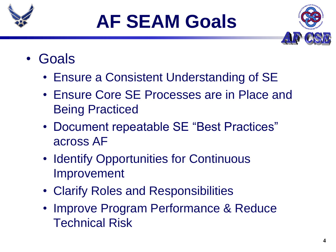

## **AF SEAM Goals**



### • Goals

- Ensure a Consistent Understanding of SE
- Ensure Core SE Processes are in Place and Being Practiced
- Document repeatable SE "Best Practices" across AF
- Identify Opportunities for Continuous Improvement
- Clarify Roles and Responsibilities
- Improve Program Performance & Reduce Technical Risk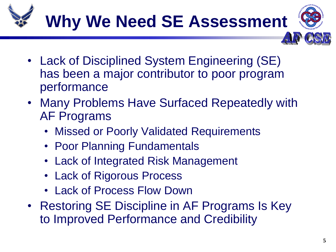

- Lack of Disciplined System Engineering (SE) has been a major contributor to poor program performance
- Many Problems Have Surfaced Repeatedly with AF Programs
	- Missed or Poorly Validated Requirements
	- Poor Planning Fundamentals
	- Lack of Integrated Risk Management
	- Lack of Rigorous Process
	- Lack of Process Flow Down
- Restoring SE Discipline in AF Programs Is Key to Improved Performance and Credibility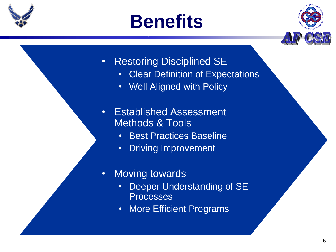





- Restoring Disciplined SE
	- Clear Definition of Expectations
	- Well Aligned with Policy
- Established Assessment Methods & Tools
	- Best Practices Baseline
	- Driving Improvement
- Moving towards
	- Deeper Understanding of SE **Processes**
	- More Efficient Programs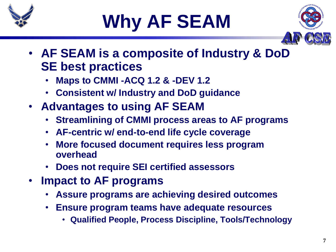

## **Why AF SEAM**



- **AF SEAM is a composite of Industry & DoD SE best practices**
	- **Maps to CMMI -ACQ 1.2 & -DEV 1.2**
	- **Consistent w/ Industry and DoD guidance**
- **Advantages to using AF SEAM**
	- **Streamlining of CMMI process areas to AF programs**
	- **AF-centric w/ end-to-end life cycle coverage**
	- **More focused document requires less program overhead**
	- **Does not require SEI certified assessors**
- **Impact to AF programs**
	- **Assure programs are achieving desired outcomes**
	- **Ensure program teams have adequate resources**
		- **Qualified People, Process Discipline, Tools/Technology**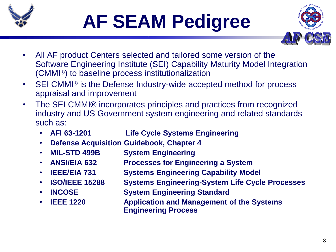

## **AF SEAM Pedigree**



- All AF product Centers selected and tailored some version of the Software Engineering Institute (SEI) Capability Maturity Model Integration (CMMI®) to baseline process institutionalization
- SEI CMMI<sup>®</sup> is the Defense Industry-wide accepted method for process appraisal and improvement
- The SEI CMMI® incorporates principles and practices from recognized industry and US Government system engineering and related standards such as:
	- **AFI 63-1201 Life Cycle Systems Engineering**
	- **Defense Acquisition Guidebook, Chapter 4**
	- **MIL-STD 499B System Engineering**
	- **ANSI/EIA 632 Processes for Engineering a System**
	- **IEEE/EIA 731 Systems Engineering Capability Model**
	- **ISO/IEEE 15288 Systems Engineering-System Life Cycle Processes**
	- **INCOSE System Engineering Standard**
	- **IEEE 1220 Application and Management of the Systems Engineering Process**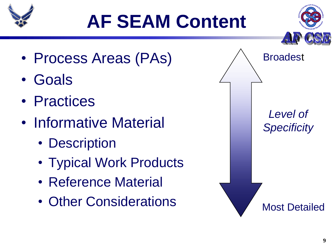

## **AF SEAM Content**



- Process Areas (PAs)
- Goals
- Practices
- Informative Material
	- Description
	- Typical Work Products
	- Reference Material
	- Other Considerations

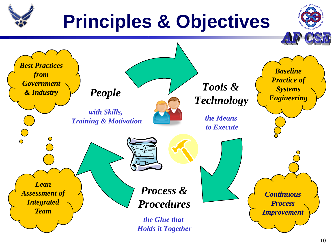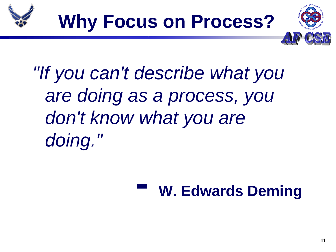



*"If you can't describe what you are doing as a process, you don't know what you are doing."* 

### **- W. Edwards Deming**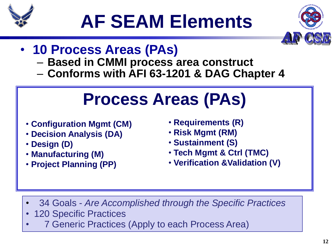

## **AF SEAM Elements**



- **10 Process Areas (PAs)**
	- **Based in CMMI process area construct**
	- **Conforms with AFI 63-1201 & DAG Chapter 4**

### **Process Areas (PAs)**

- **Configuration Mgmt (CM)**
- **Decision Analysis (DA)**
- **Design (D)**
- **Manufacturing (M)**
- **Project Planning (PP)**
- **Requirements (R)**
- **Risk Mgmt (RM)**
- **Sustainment (S)**
- **Tech Mgmt & Ctrl (TMC)**
- **Verification &Validation (V)**

- 34 Goals *Are Accomplished through the Specific Practices*
- 120 Specific Practices
- 7 Generic Practices (Apply to each Process Area)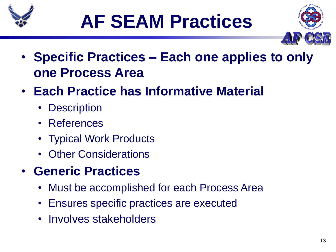





- **Specific Practices – Each one applies to only one Process Area**
- **Each Practice has Informative Material**
	- Description
	- References
	- Typical Work Products
	- Other Considerations
- **Generic Practices**
	- Must be accomplished for each Process Area
	- Ensures specific practices are executed
	- Involves stakeholders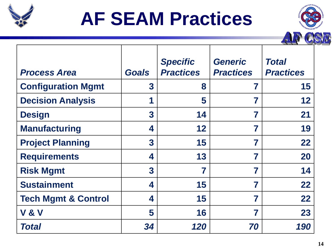

## **AF SEAM Practices**

| <b>Process Area</b>            | <b>Goals</b> | <b>Specific</b><br><b>Practices</b> | <b>Generic</b><br><b>Practices</b> | Total<br><b>Practices</b> |
|--------------------------------|--------------|-------------------------------------|------------------------------------|---------------------------|
| <b>Configuration Mgmt</b>      | 3            | 8                                   |                                    | 15                        |
| <b>Decision Analysis</b>       | 1            | 5                                   | 7                                  | 12                        |
| <b>Design</b>                  | 3            | 14                                  | 7                                  | 21                        |
| <b>Manufacturing</b>           | 4            | 12                                  | 7                                  | 19                        |
| <b>Project Planning</b>        | 3            | 15                                  | 7                                  | 22                        |
| <b>Requirements</b>            | 4            | 13                                  | 7                                  | 20                        |
| <b>Risk Mgmt</b>               | 3            | 7                                   |                                    | 14                        |
| <b>Sustainment</b>             | 4            | 15                                  | 7                                  | 22                        |
| <b>Tech Mgmt &amp; Control</b> | 4            | 15                                  | 7                                  | 22                        |
| <b>V &amp; V</b>               | 5            | 16                                  | 7                                  | 23                        |
| Total                          | 34           | 120                                 | 70                                 | <i><b>190</b></i>         |

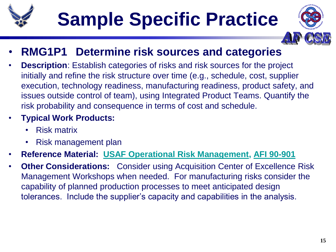

# **Sample Specific Practice**



#### • **RMG1P1 Determine risk sources and categories**

• **Description**: Establish categories of risks and risk sources for the project initially and refine the risk structure over time (e.g., schedule, cost, supplier execution, technology readiness, manufacturing readiness, product safety, and issues outside control of team), using Integrated Product Teams. Quantify the risk probability and consequence in terms of cost and schedule.

#### • **Typical Work Products:**

- Risk matrix
- Risk management plan
- **Reference Material: USAF Operational Risk Management, AFI 90-901**
- **Other Considerations:** Consider using Acquisition Center of Excellence Risk Management Workshops when needed. For manufacturing risks consider the capability of planned production processes to meet anticipated design tolerances. Include the supplier's capacity and capabilities in the analysis.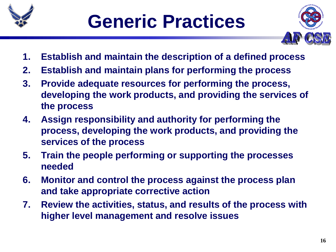

## **Generic Practices**



- **1. Establish and maintain the description of a defined process**
- **2. Establish and maintain plans for performing the process**
- **3. Provide adequate resources for performing the process, developing the work products, and providing the services of the process**
- **4. Assign responsibility and authority for performing the process, developing the work products, and providing the services of the process**
- **5. Train the people performing or supporting the processes needed**
- **6. Monitor and control the process against the process plan and take appropriate corrective action**
- **7. Review the activities, status, and results of the process with higher level management and resolve issues**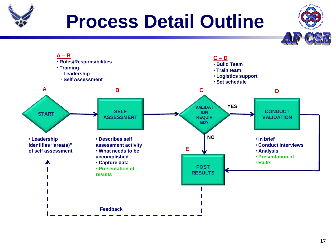

## **Process Detail Outline**



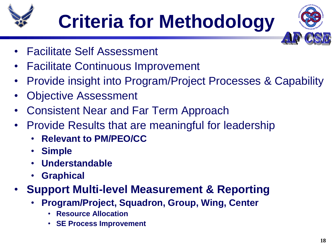

# **Criteria for Methodology**



- Facilitate Self Assessment
- Facilitate Continuous Improvement
- Provide insight into Program/Project Processes & Capability
- Objective Assessment
- Consistent Near and Far Term Approach
- Provide Results that are meaningful for leadership
	- **Relevant to PM/PEO/CC**
	- **Simple**
	- **Understandable**
	- **Graphical**
- **Support Multi-level Measurement & Reporting**
	- **Program/Project, Squadron, Group, Wing, Center**
		- **Resource Allocation**
		- **SE Process Improvement**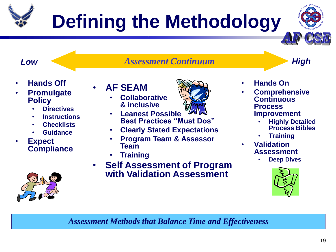# **Defining the Methodology**

*Low Assessment Continuum High* 



- **Promulgate Policy**
	- **Directives**
	- **Instructions**
	- **Checklists**
	- **Guidance**
- **Expect Compliance**



#### • **AF SEAM**

- **Collaborative & inclusive**
- **Leanest Possible Best Practices "Must Dos"**
- **Clearly Stated Expectations**
- **Program Team & Assessor Team**
- **Training**
- **Self Assessment of Program with Validation Assessment**



- **Comprehensive Continuous Process Improvement**
	- **Highly Detailed Process Bibles**
	- **Training**
- **Validation Assessment**
	- **Deep Dives**



*Assessment Methods that Balance Time and Effectiveness*



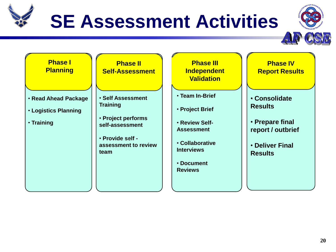

**Phase I Planning**

• **Training** 



**Reviews**

**20**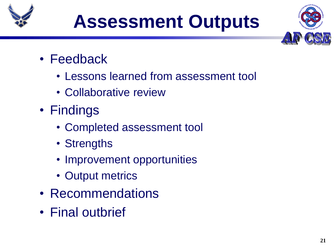





- Feedback
	- Lessons learned from assessment tool
	- Collaborative review
- Findings
	- Completed assessment tool
	- Strengths
	- Improvement opportunities
	- Output metrics
- Recommendations
- Final outbrief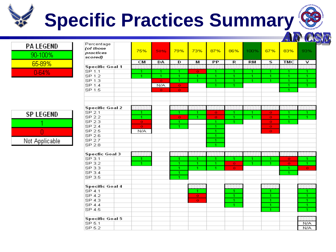# **Specific Practices Summary**

п



**Dorophone** 



| r ercentage<br>(of those |              |           |                |              |                 |           |       |                         |              |           |
|--------------------------|--------------|-----------|----------------|--------------|-----------------|-----------|-------|-------------------------|--------------|-----------|
| practices                | 75%          | 50%       | 79%            | 73%          | 87%             | 86%       | 100%  | 67%                     | 83%          | 93%       |
| scored)                  |              |           |                |              |                 |           |       |                         |              |           |
|                          | <b>CM</b>    | DA        | D              | M            | $\overline{PP}$ | R         | RM    | $\overline{\mathbf{s}}$ | <b>TMC</b>   | v         |
| <b>Specific Goal 1</b>   | 8888         | see       | BEER           |              | 88              |           |       |                         | 저작물의         | 8888      |
| SP 1.1                   | 1            | 1.        | 1              | $\bullet$    | 1.              | 1.        | 1     | 1                       | 1            | 1         |
| SP 1.2                   | 1.           | 1.        | 1              | $\mathbf{1}$ | 1.              | 1.        | 1     | 1                       | 1            | 1         |
| SP 1.3                   |              | $\bullet$ | $\overline{1}$ | 1            | 1.              | 1.        | 1     | $\mathbf{1}$            | 1            | 1         |
| SP 1.4                   |              | N/A       | $\mathbf{O}$   |              | 1.              | 1.        |       |                         | 1            | 1.        |
| SP 1.5                   |              | $\bullet$ | $\bullet$      |              |                 |           |       |                         | 1            |           |
|                          |              |           |                |              |                 |           |       |                         |              |           |
|                          |              |           |                |              |                 |           |       |                         |              |           |
|                          |              |           |                |              |                 |           |       |                         |              |           |
| <b>Specific Goal 2</b>   | 詳細書          |           | 用用用用           | B            | BBBBB           |           | 88888 | 电电阻电阻                   |              |           |
| SP 2.1                   | 1            |           | 1              | 1            | $\mathbf{0}$    |           |       | $\mathbf{O}$            | 1            |           |
| SP 2.2                   | 1.           |           | $\bullet$      | 1            | $\bullet$       | 1.        | 1     | $\mathbf{0}$            | 1            |           |
| SP 2.3                   | $\mathbf{O}$ |           | 1.             |              | 1.              |           |       | $\bullet$               |              |           |
| SP 2.4                   | $\mathbf{O}$ |           | 1.             |              | 1.              |           |       | $\bullet$               |              |           |
| SP 2.5                   | N/A          |           |                |              | 1.              |           |       | $\bullet$               |              |           |
| SP 2.6                   |              |           |                |              | 1.              |           |       |                         |              |           |
| SP 2.7                   |              |           |                |              | 1.              |           |       |                         |              |           |
| SP 2.8                   |              |           |                |              | 1               |           |       |                         |              |           |
|                          |              |           |                |              |                 |           |       |                         |              |           |
| <b>Specfic Goal 3</b>    | 頭頭頭          |           | 雷爾爾爾           | 88888        | eeee            | 非非非非      | 建苯甲   |                         | 非非用          | BBBB      |
| SP 3.1                   | 1            |           | 1              | 1            | 1.              | 1.        | 1     | 1                       | $\mathbf{O}$ | 1         |
| SP <sub>3.2</sub>        | 1            |           | 1              | 1            | 1.              | $\bullet$ | 1     | 1.                      | $\bullet$    | 1         |
| SP 3.3                   |              |           | 1              | 1            | 1.              | $\bullet$ |       |                         | 1.           | $\bullet$ |
| SP 3.4                   |              |           | 1.             |              |                 |           |       |                         | 1.           |           |
| SP 3.5                   |              |           | 1              |              |                 |           |       |                         |              |           |
|                          |              |           |                |              |                 |           |       |                         |              |           |
| <b>Specific Goal 4</b>   |              |           |                |              |                 |           |       |                         |              |           |
| SP 4.1                   |              |           |                | 1            |                 | 1.        |       | 1                       |              |           |
| SP 4.2                   |              |           |                | $\mathbf{O}$ |                 | 1.        |       | 1                       |              | 1         |
| SP 4.3                   |              |           |                | $\mathbf{O}$ |                 | 1.        |       | $\mathbf{1}$            |              | 1         |
| SP 4.4                   |              |           |                |              |                 | 1.        |       | 1                       |              | 1.        |
| SP 4.5                   |              |           |                |              |                 |           |       | 1                       |              |           |
|                          |              |           |                |              |                 |           |       |                         |              |           |
| Specific Goal 5          |              |           |                |              |                 |           |       |                         |              |           |
| SP 5.1                   |              |           |                |              |                 |           |       |                         |              | N/A       |
| SP 5.2                   |              |           |                |              |                 |           |       |                         |              | N/A       |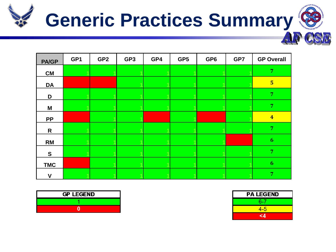

| <b>PA/GP</b> | GP1 | GP <sub>2</sub> | GP3 | GP4 | GP <sub>5</sub> | GP <sub>6</sub> | GP7 | <b>GP Overall</b> |
|--------------|-----|-----------------|-----|-----|-----------------|-----------------|-----|-------------------|
| CM           |     |                 |     |     |                 |                 |     | $\overline{7}$    |
| <b>DA</b>    |     |                 |     |     |                 |                 |     | $5\phantom{1}$    |
| D            |     |                 |     |     |                 |                 |     | 7                 |
| M            |     |                 |     |     |                 |                 |     | 7                 |
| <b>PP</b>    |     |                 |     |     |                 |                 |     | $\overline{4}$    |
| $\mathsf{R}$ |     |                 |     |     |                 |                 |     | 7                 |
| <b>RM</b>    |     |                 |     |     |                 |                 |     | 6                 |
| $\mathbf{s}$ |     |                 |     |     |                 |                 |     | 7                 |
| <b>TMC</b>   |     |                 |     |     |                 |                 |     | 6                 |
| V            |     |                 |     |     |                 |                 |     |                   |

| <b>GP LEGEND</b> |
|------------------|
|                  |
|                  |

| <b>PA LEGEND</b> |
|------------------|
| 6-7              |
| $4 - 5$          |
| <∆               |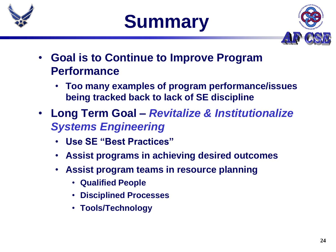





- **Goal is to Continue to Improve Program Performance**
	- **Too many examples of program performance/issues being tracked back to lack of SE discipline**
- **Long Term Goal –** *Revitalize & Institutionalize Systems Engineering*
	- **Use SE "Best Practices"**
	- **Assist programs in achieving desired outcomes**
	- **Assist program teams in resource planning**
		- **Qualified People**
		- **Disciplined Processes**
		- **Tools/Technology**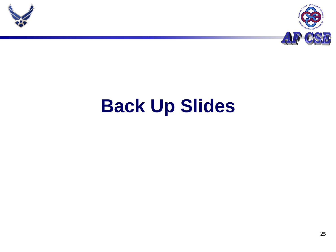



## **Back Up Slides**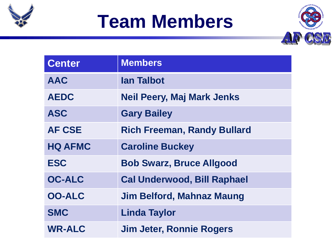

### **Team Members**



| <b>Center</b>  | <b>Members</b>                     |
|----------------|------------------------------------|
| <b>AAC</b>     | <b>lan Talbot</b>                  |
| <b>AEDC</b>    | <b>Neil Peery, Maj Mark Jenks</b>  |
| <b>ASC</b>     | <b>Gary Bailey</b>                 |
| <b>AF CSE</b>  | <b>Rich Freeman, Randy Bullard</b> |
| <b>HQ AFMC</b> | <b>Caroline Buckey</b>             |
| <b>ESC</b>     | <b>Bob Swarz, Bruce Allgood</b>    |
| <b>OC-ALC</b>  | <b>Cal Underwood, Bill Raphael</b> |
| <b>OO-ALC</b>  | <b>Jim Belford, Mahnaz Maung</b>   |
| <b>SMC</b>     | <b>Linda Taylor</b>                |
| <b>WR-ALC</b>  | <b>Jim Jeter, Ronnie Rogers</b>    |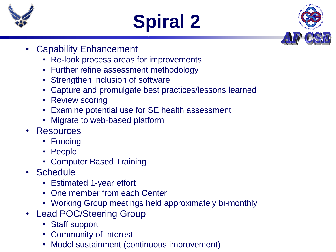





- Capability Enhancement
	- Re-look process areas for improvements
	- Further refine assessment methodology
	- Strengthen inclusion of software
	- Capture and promulgate best practices/lessons learned
	- Review scoring
	- Examine potential use for SE health assessment
	- Migrate to web-based platform
- **Resources** 
	- Funding
	- People
	- Computer Based Training
- Schedule
	- Estimated 1-year effort
	- One member from each Center
	- Working Group meetings held approximately bi-monthly
- Lead POC/Steering Group
	- Staff support
	- Community of Interest
	- Model sustainment (continuous improvement)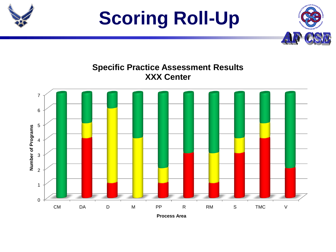

## **Scoring Roll-Up**



## **Specific Practice Assessment Results XXX Center**

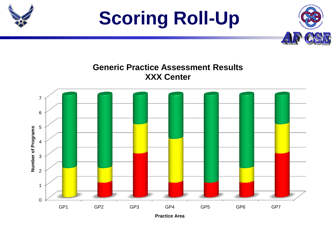



#### **Generic Practice Assessment Results XXX Center**7 6 Number of Programs 5 **Number of Programs** 4 3 2 1 0 GP1 GP2 GP3 GP4 GP5 GP6 GP7

**Practice Area**